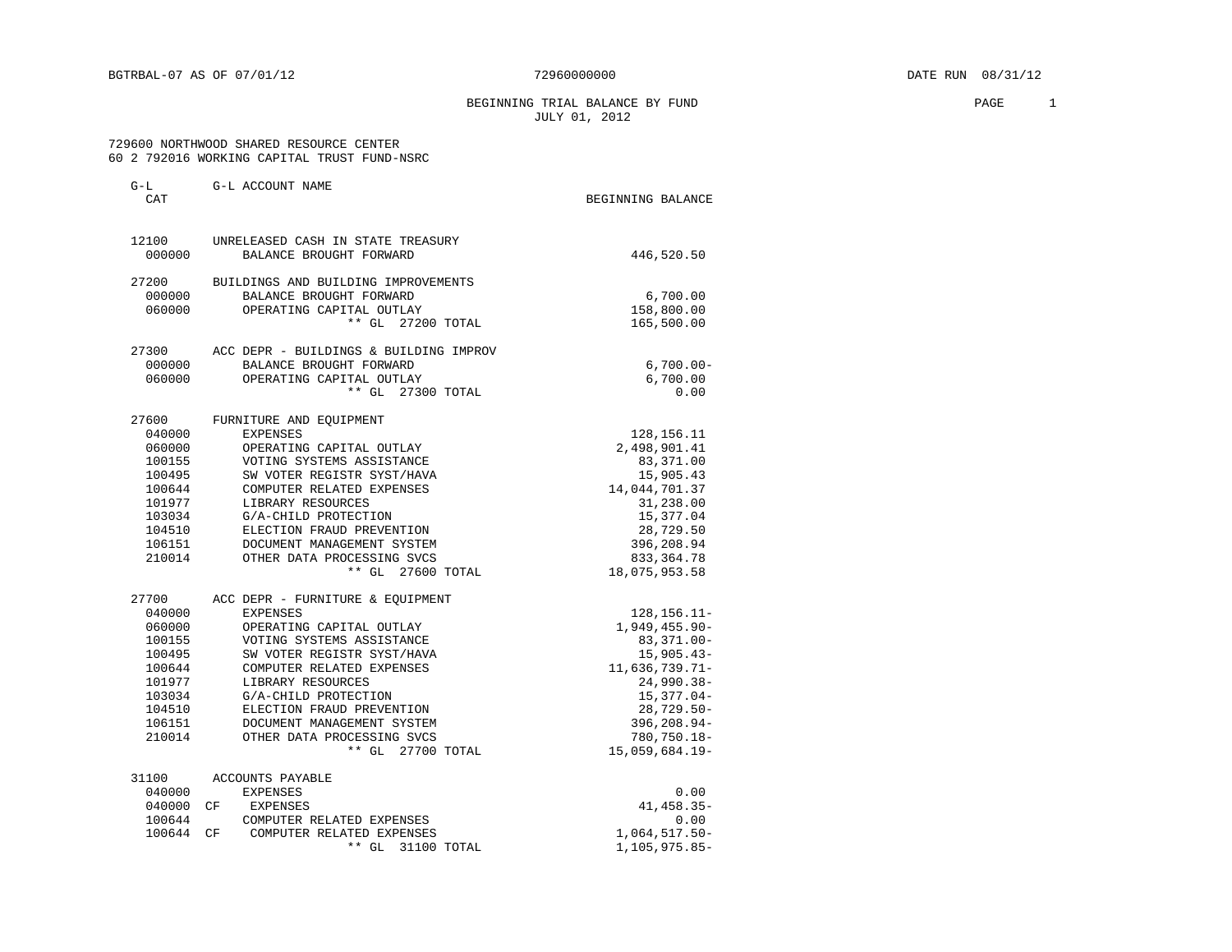BEGINNING TRIAL BALANCE BY FUND **PAGE** 2 JULY 01, 2012

#### 729600 NORTHWOOD SHARED RESOURCE CENTER 60 2 792016 WORKING CAPITAL TRUST FUND-NSRC

| $G-L$<br>CAT     | G-L ACCOUNT NAME                                  | BEGINNING BALANCE             |
|------------------|---------------------------------------------------|-------------------------------|
| 12100            | UNRELEASED CASH IN STATE TREASURY                 |                               |
| 000000           | BALANCE BROUGHT FORWARD                           | 446,520.50                    |
| 27200            | BUILDINGS AND BUILDING IMPROVEMENTS               |                               |
| 000000           | BALANCE BROUGHT FORWARD                           | 6,700.00                      |
| 060000           | OPERATING CAPITAL OUTLAY                          | 158,800.00                    |
|                  | ** GL 27200 TOTAL                                 | 165,500.00                    |
| 27300            | ACC DEPR - BUILDINGS & BUILDING IMPROV            |                               |
| 000000           | BALANCE BROUGHT FORWARD                           | $6,700.00 -$                  |
| 060000           | OPERATING CAPITAL OUTLAY                          | 6,700.00                      |
|                  | ** GL 27300 TOTAL                                 | 0.00                          |
| 27600            | FURNITURE AND EQUIPMENT                           |                               |
| 040000           | EXPENSES                                          | 128, 156. 11                  |
| 060000           | OPERATING CAPITAL OUTLAY                          | 2,498,901.41                  |
| 100155           | VOTING SYSTEMS ASSISTANCE                         | 83,371.00                     |
| 100495           | SW VOTER REGISTR SYST/HAVA                        | 15,905.43                     |
| 100644           | COMPUTER RELATED EXPENSES                         | 14,044,701.37                 |
| 101977           | LIBRARY RESOURCES                                 | 31,238.00                     |
| 103034           | G/A-CHILD PROTECTION                              | 15,377.04                     |
| 104510           | ELECTION FRAUD PREVENTION                         | 28,729.50                     |
| 106151           | DOCUMENT MANAGEMENT SYSTEM                        | 396,208.94                    |
| 210014           | OTHER DATA PROCESSING SVCS                        | 833, 364. 78                  |
|                  | ** GL 27600 TOTAL                                 | 18,075,953.58                 |
| 27700            | ACC DEPR - FURNITURE & EQUIPMENT                  |                               |
| 040000           | <b>EXPENSES</b>                                   | $128, 156.11 -$               |
| 060000           | OPERATING CAPITAL OUTLAY                          | $1,949,455.90 -$              |
| 100155           | VOTING SYSTEMS ASSISTANCE                         | $83,371.00 -$                 |
| 100495           | SW VOTER REGISTR SYST/HAVA                        | $15,905.43-$                  |
| 100644           | COMPUTER RELATED EXPENSES                         | 11,636,739.71-                |
| 101977           | LIBRARY RESOURCES                                 | $24,990.38-$                  |
| 103034<br>104510 | G/A-CHILD PROTECTION<br>ELECTION FRAUD PREVENTION | $15,377.04-$<br>$28,729.50 -$ |
| 106151           | DOCUMENT MANAGEMENT SYSTEM                        | 396,208.94-                   |
| 210014           | OTHER DATA PROCESSING SVCS                        | 780,750.18-                   |
|                  | ** GL 27700 TOTAL                                 | $15,059,684.19-$              |
|                  |                                                   |                               |
| 31100<br>040000  | ACCOUNTS PAYABLE<br>EXPENSES                      | 0.00                          |
| 040000           | EXPENSES<br>CF <sup></sup>                        | $41, 458.35 -$                |
| 100644           | COMPUTER RELATED EXPENSES                         | 0.00                          |
| 100644           | CF<br>COMPUTER RELATED EXPENSES                   | $1,064,517.50-$               |
|                  | ** GL<br>31100 TOTAL                              | 1,105,975.85-                 |
|                  |                                                   |                               |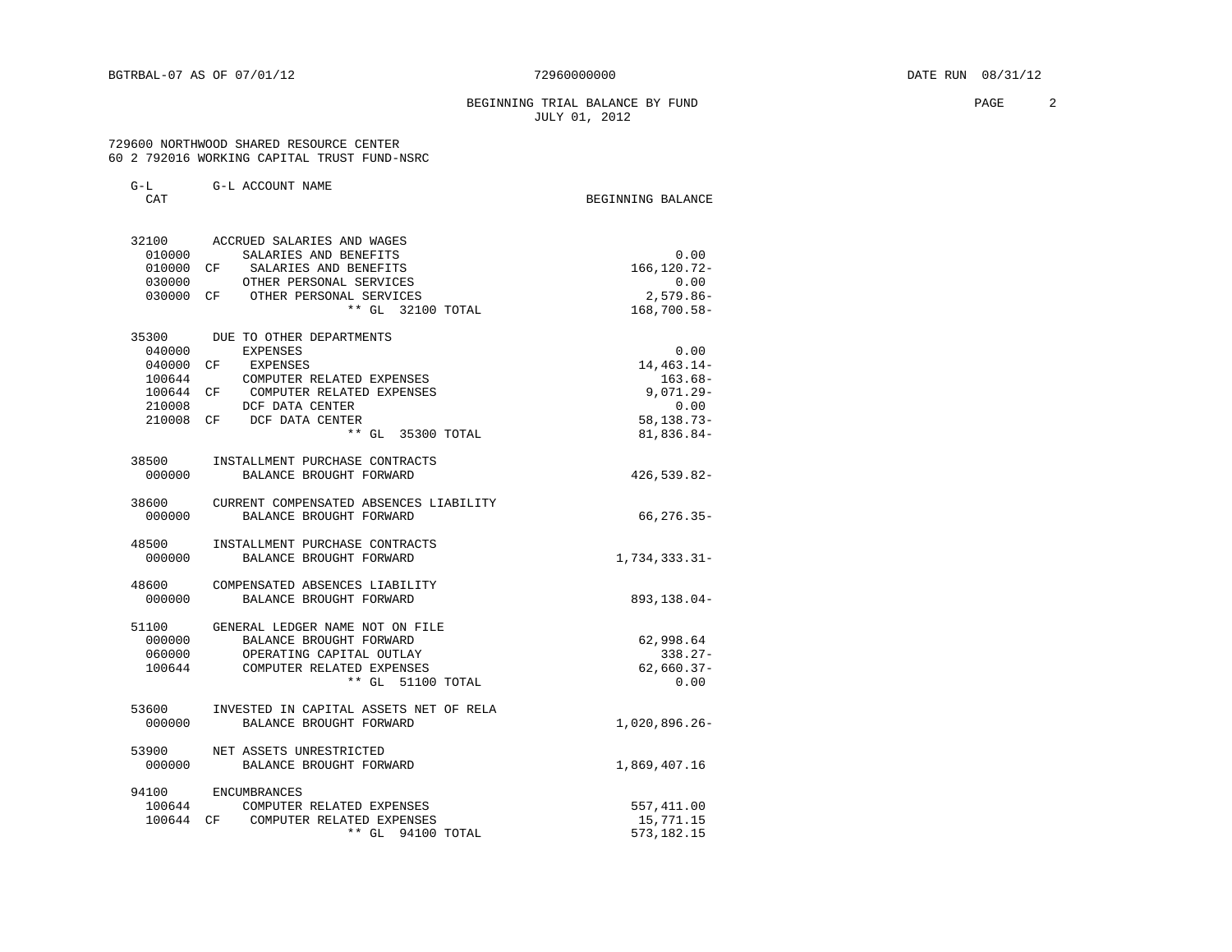#### BEGINNING TRIAL BALANCE BY FUND **PAGE** 2 JULY 01, 2012

 729600 NORTHWOOD SHARED RESOURCE CENTER 60 2 792016 WORKING CAPITAL TRUST FUND-NSRC

| $G-L$<br><b>CAT</b> | G-L ACCOUNT NAME                             | BEGINNING BALANCE |
|---------------------|----------------------------------------------|-------------------|
|                     | 32100 ACCRUED SALARIES AND WAGES             |                   |
| 010000              | SALARIES AND BENEFITS                        | 0.00              |
| 010000 CF           | SALARIES AND BENEFITS                        | 166, 120. 72-     |
|                     | 030000 OTHER PERSONAL SERVICES               | 0.00              |
|                     | 030000 CF OTHER PERSONAL SERVICES            | $2.579.86 -$      |
|                     | ** GL 32100 TOTAL                            | 168,700.58-       |
|                     | 35300 DUE TO OTHER DEPARTMENTS               |                   |
|                     | 040000 EXPENSES                              | 0.00              |
|                     | 040000 CF EXPENSES                           | 14, 463. 14-      |
| 100644              | COMPUTER RELATED EXPENSES                    | $163.68-$         |
| 100644 CF           | COMPUTER RELATED EXPENSES                    | $9,071.29 -$      |
|                     | 210008 DCF DATA CENTER                       | 0.00              |
|                     | 210008 CF DCF DATA CENTER                    | $58, 138.73 -$    |
|                     | ** GL 35300 TOTAL                            | 81,836.84-        |
| 38500               | INSTALLMENT PURCHASE CONTRACTS               |                   |
| 000000              | BALANCE BROUGHT FORWARD                      | 426,539.82-       |
|                     | 38600 CURRENT COMPENSATED ABSENCES LIABILITY |                   |
| 000000              | BALANCE BROUGHT FORWARD                      | $66, 276.35 -$    |
| 48500               | INSTALLMENT PURCHASE CONTRACTS               |                   |
| 000000              | BALANCE BROUGHT FORWARD                      | 1,734,333.31-     |
| 48600               | COMPENSATED ABSENCES LIABILITY               |                   |
| 000000              | BALANCE BROUGHT FORWARD                      | 893,138.04-       |
| 51100               | GENERAL LEDGER NAME NOT ON FILE              |                   |
| 000000              | BALANCE BROUGHT FORWARD                      | 62,998.64         |
| 060000              | OPERATING CAPITAL OUTLAY                     | $338.27-$         |
| 100644              | COMPUTER RELATED EXPENSES                    | $62,660.37-$      |
|                     | ** GL 51100 TOTAL                            | 0.00              |
| 53600               | INVESTED IN CAPITAL ASSETS NET OF RELA       |                   |
| 000000              | BALANCE BROUGHT FORWARD                      | $1,020,896.26 -$  |
|                     | 53900 NET ASSETS UNRESTRICTED                |                   |
| 000000              | BALANCE BROUGHT FORWARD                      | 1,869,407.16      |
|                     | 94100 ENCUMBRANCES                           |                   |
| 100644              | COMPUTER RELATED EXPENSES                    | 557,411.00        |
|                     | 100644 CF COMPUTER RELATED EXPENSES          | 15,771.15         |
|                     | ** GL 94100 TOTAL                            | 573, 182. 15      |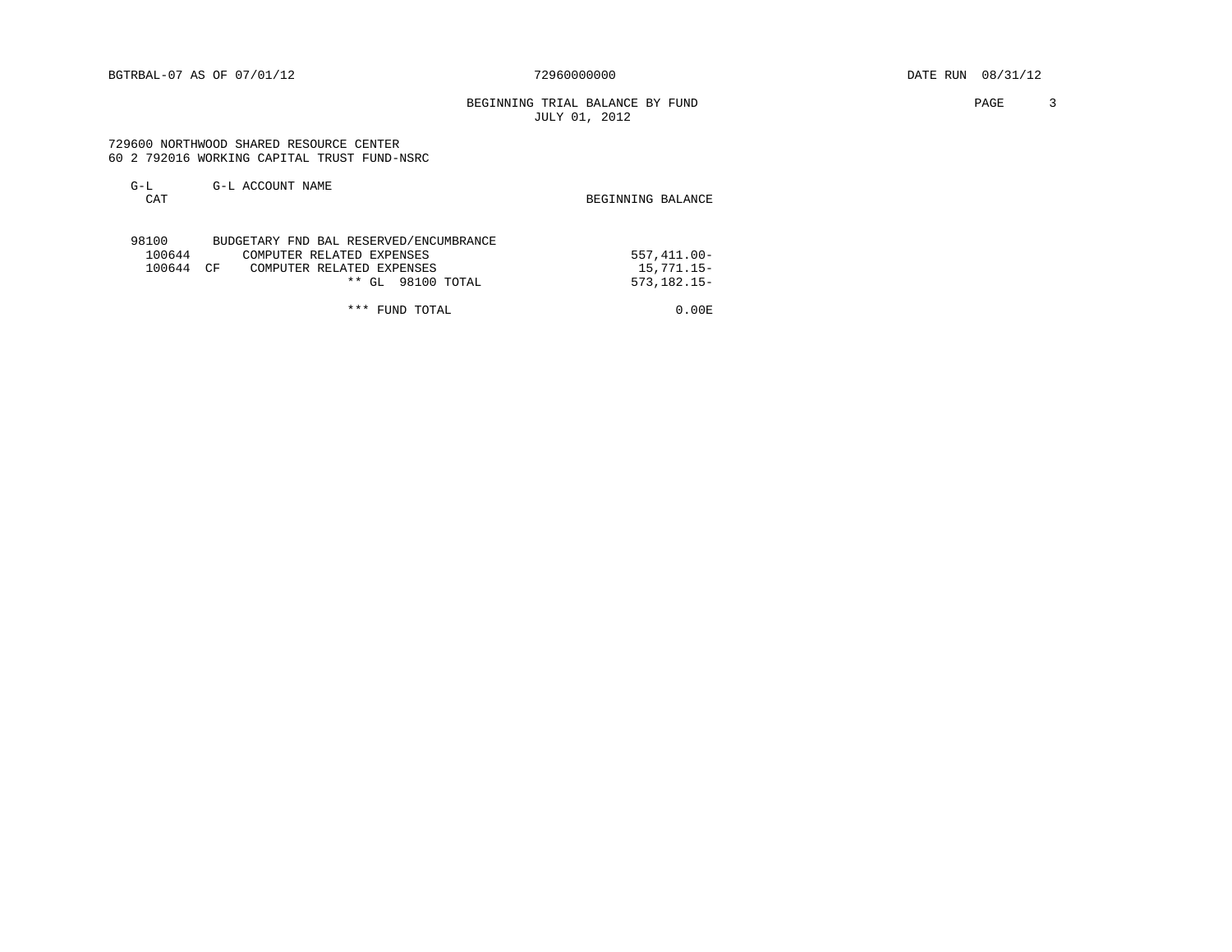BGTRBAL-07 AS OF 07/01/12 72960000000 DATE RUN 08/31/12

BEGINNING TRIAL BALANCE BY FUND **PAGE** 3 JULY 01, 2012

#### 729600 NORTHWOOD SHARED RESOURCE CENTER 60 2 792016 WORKING CAPITAL TRUST FUND-NSRC

| $G-L$<br><b>CAT</b> | G-L ACCOUNT NAME                       | BEGINNING BALANCE |
|---------------------|----------------------------------------|-------------------|
| 98100               | BUDGETARY FND BAL RESERVED/ENCUMBRANCE |                   |
| 100644              | COMPUTER RELATED EXPENSES              | $557.411.00 -$    |
| 100644              | COMPUTER RELATED EXPENSES<br>ΠF        | $15.771.15-$      |

\*\* GL 98100 TOTAL 573,182.15-

\*\*\* FUND TOTAL 0.00 E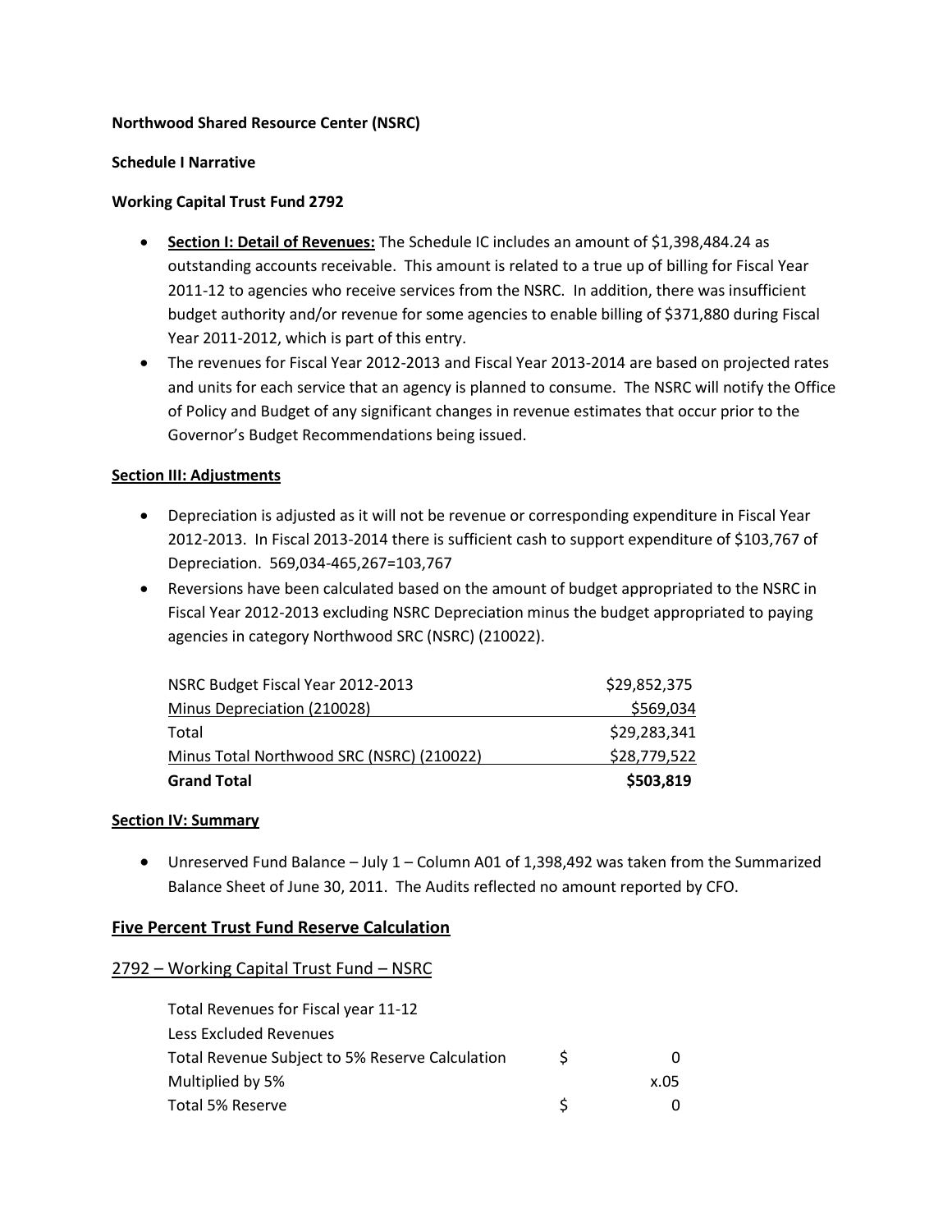### **Northwood Shared Resource Center (NSRC)**

### **Schedule I Narrative**

### **Working Capital Trust Fund 2792**

- **Section I: Detail of Revenues:** The Schedule IC includes an amount of \$1,398,484.24 as outstanding accounts receivable. This amount is related to a true up of billing for Fiscal Year 2011-12 to agencies who receive services from the NSRC. In addition, there was insufficient budget authority and/or revenue for some agencies to enable billing of \$371,880 during Fiscal Year 2011-2012, which is part of this entry.
- The revenues for Fiscal Year 2012-2013 and Fiscal Year 2013-2014 are based on projected rates and units for each service that an agency is planned to consume. The NSRC will notify the Office of Policy and Budget of any significant changes in revenue estimates that occur prior to the Governor's Budget Recommendations being issued.

### **Section III: Adjustments**

- Depreciation is adjusted as it will not be revenue or corresponding expenditure in Fiscal Year 2012-2013. In Fiscal 2013-2014 there is sufficient cash to support expenditure of \$103,767 of Depreciation. 569,034-465,267=103,767
- Reversions have been calculated based on the amount of budget appropriated to the NSRC in Fiscal Year 2012-2013 excluding NSRC Depreciation minus the budget appropriated to paying agencies in category Northwood SRC (NSRC) (210022).

| <b>Grand Total</b>                        | \$503,819    |
|-------------------------------------------|--------------|
| Minus Total Northwood SRC (NSRC) (210022) | \$28,779,522 |
| Total                                     | \$29,283,341 |
| Minus Depreciation (210028)               | \$569,034    |
| NSRC Budget Fiscal Year 2012-2013         | \$29,852,375 |

### **Section IV: Summary**

 Unreserved Fund Balance – July 1 – Column A01 of 1,398,492 was taken from the Summarized Balance Sheet of June 30, 2011. The Audits reflected no amount reported by CFO.

## **Five Percent Trust Fund Reserve Calculation**

### 2792 – Working Capital Trust Fund – NSRC

| Total Revenues for Fiscal year 11-12            |             |      |
|-------------------------------------------------|-------------|------|
| Less Excluded Revenues                          |             |      |
| Total Revenue Subject to 5% Reserve Calculation | $\varsigma$ |      |
| Multiplied by 5%                                |             | x.05 |
| Total 5% Reserve                                |             |      |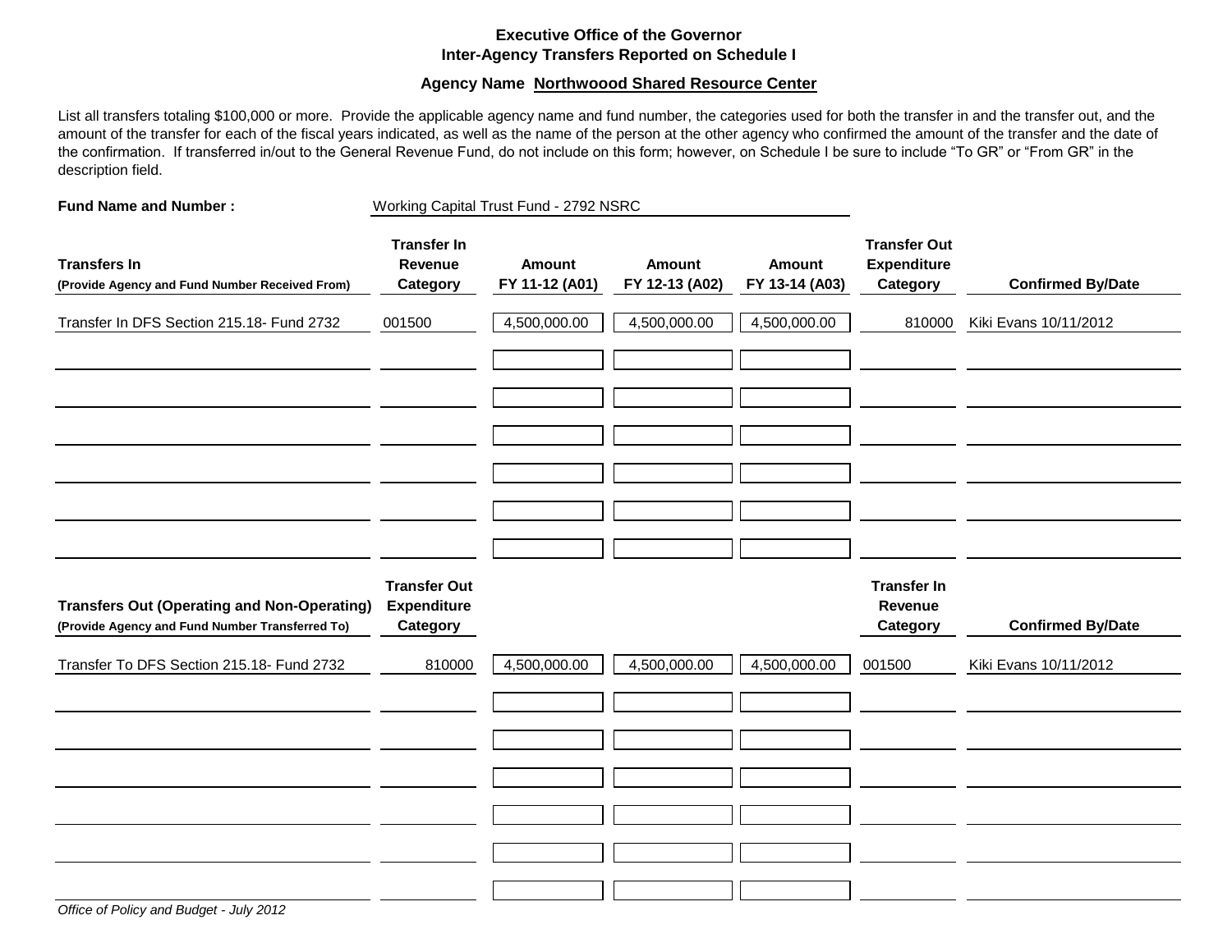#### **Executive Office of the Governor Inter-Agency Transfers Reported on Schedule I**

#### **Agency Name Northwoood Shared Resource Center**

List all transfers totaling \$100,000 or more. Provide the applicable agency name and fund number, the categories used for both the transfer in and the transfer out, and the amount of the transfer for each of the fiscal years indicated, as well as the name of the person at the other agency who confirmed the amount of the transfer and the date of the confirmation. If transferred in/out to the General Revenue Fund, do not include on this form; however, on Schedule I be sure to include "To GR" or "From GR" in the description field.

| <b>Fund Name and Number:</b>                                                                          | Working Capital Trust Fund - 2792 NSRC                |                                 |                                 |                                 |                                                       |                          |
|-------------------------------------------------------------------------------------------------------|-------------------------------------------------------|---------------------------------|---------------------------------|---------------------------------|-------------------------------------------------------|--------------------------|
| <b>Transfers In</b><br>(Provide Agency and Fund Number Received From)                                 | <b>Transfer In</b><br>Revenue<br>Category             | <b>Amount</b><br>FY 11-12 (A01) | <b>Amount</b><br>FY 12-13 (A02) | <b>Amount</b><br>FY 13-14 (A03) | <b>Transfer Out</b><br><b>Expenditure</b><br>Category | <b>Confirmed By/Date</b> |
| Transfer In DFS Section 215.18- Fund 2732                                                             | 001500                                                | 4,500,000.00                    | 4,500,000.00                    | 4,500,000.00                    | 810000                                                | Kiki Evans 10/11/2012    |
|                                                                                                       |                                                       |                                 |                                 |                                 |                                                       |                          |
|                                                                                                       |                                                       |                                 |                                 |                                 |                                                       |                          |
| <b>Transfers Out (Operating and Non-Operating)</b><br>(Provide Agency and Fund Number Transferred To) | <b>Transfer Out</b><br><b>Expenditure</b><br>Category |                                 |                                 |                                 | <b>Transfer In</b><br>Revenue<br>Category             | <b>Confirmed By/Date</b> |
| Transfer To DFS Section 215.18- Fund 2732                                                             | 810000                                                | 4,500,000.00                    | 4,500,000.00                    | 4,500,000.00                    | 001500                                                | Kiki Evans 10/11/2012    |
|                                                                                                       |                                                       |                                 |                                 |                                 |                                                       |                          |
|                                                                                                       |                                                       |                                 |                                 |                                 |                                                       |                          |
|                                                                                                       |                                                       |                                 |                                 |                                 |                                                       |                          |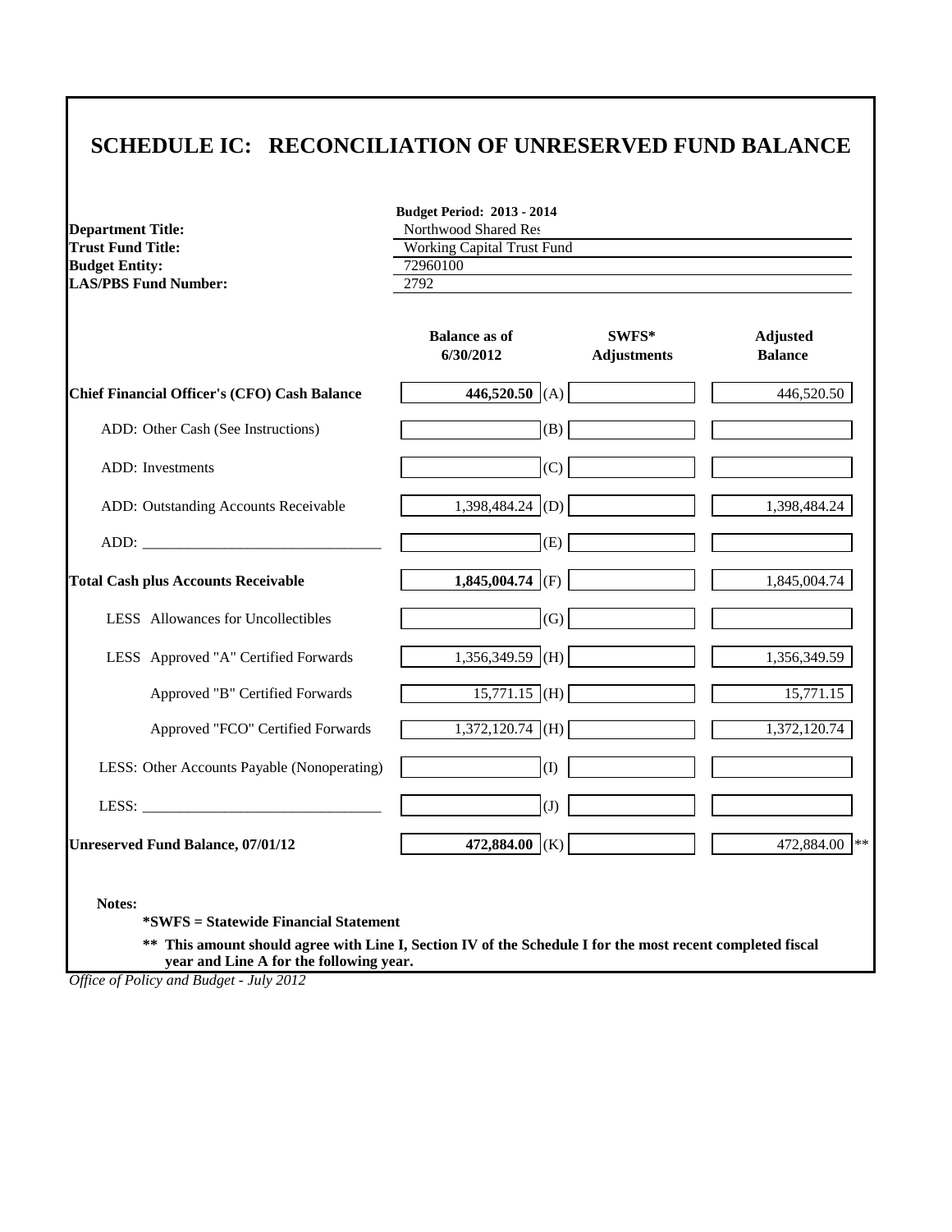# **SCHEDULE IC: RECONCILIATION OF UNRESERVED FUND BALANCE**

| <b>Department Title:</b>                     | <b>Budget Period: 2013 - 2014</b><br>Northwood Shared Res<br><b>Working Capital Trust Fund</b> |                             |                                   |  |  |  |
|----------------------------------------------|------------------------------------------------------------------------------------------------|-----------------------------|-----------------------------------|--|--|--|
| <b>Trust Fund Title:</b>                     |                                                                                                |                             |                                   |  |  |  |
| <b>Budget Entity:</b>                        | 72960100<br>2792                                                                               |                             |                                   |  |  |  |
| <b>LAS/PBS Fund Number:</b>                  |                                                                                                |                             |                                   |  |  |  |
|                                              | <b>Balance as of</b><br>6/30/2012                                                              | SWFS*<br><b>Adjustments</b> | <b>Adjusted</b><br><b>Balance</b> |  |  |  |
| Chief Financial Officer's (CFO) Cash Balance | 446,520.50 (A)                                                                                 |                             | 446,520.50                        |  |  |  |
| ADD: Other Cash (See Instructions)           | (B)                                                                                            |                             |                                   |  |  |  |
| ADD: Investments                             | (C)                                                                                            |                             |                                   |  |  |  |
| ADD: Outstanding Accounts Receivable         | 1,398,484.24 (D)                                                                               |                             | 1,398,484.24                      |  |  |  |
|                                              | (E)                                                                                            |                             |                                   |  |  |  |
| <b>Total Cash plus Accounts Receivable</b>   | 1,845,004.74 (F)                                                                               |                             | 1,845,004.74                      |  |  |  |
| LESS Allowances for Uncollectibles           | (G)                                                                                            |                             |                                   |  |  |  |
| LESS Approved "A" Certified Forwards         | 1,356,349.59 (H)                                                                               |                             | 1,356,349.59                      |  |  |  |
| Approved "B" Certified Forwards              | $15,771.15$ (H)                                                                                |                             | 15,771.15                         |  |  |  |
| Approved "FCO" Certified Forwards            | $1,372,120.74$ (H)                                                                             |                             | 1,372,120.74                      |  |  |  |
| LESS: Other Accounts Payable (Nonoperating)  | (1)                                                                                            |                             |                                   |  |  |  |
|                                              | (J)                                                                                            |                             |                                   |  |  |  |
| <b>Unreserved Fund Balance, 07/01/12</b>     | 472,884.00 (K)                                                                                 |                             | 472,884.00 **                     |  |  |  |

**\*SWFS = Statewide Financial Statement** 

**\*\* This amount should agree with Line I, Section IV of the Schedule I for the most recent completed fiscal year and Line A for the following year.**

*Office of Policy and Budget - July 2012*